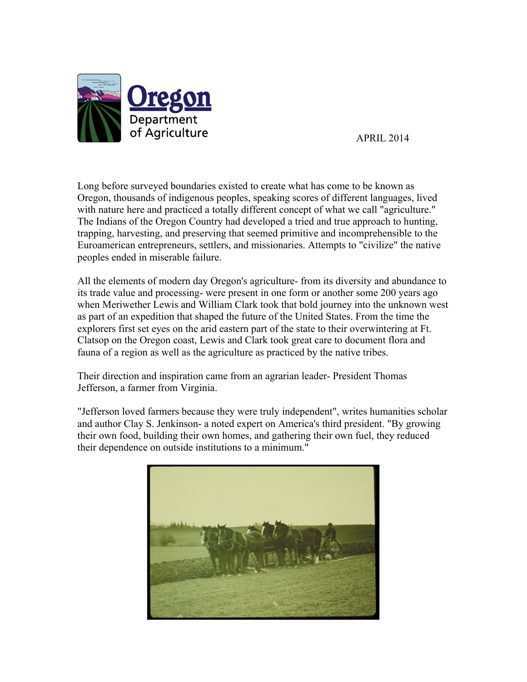

APRIL 2014

Long before surveyed boundaries existed to create what has come to be known as Oregon, thousands of indigenous peoples, speaking scores of different languages, lived with nature here and practiced a totally different concept of what we call "agriculture." The Indians of the Oregon Country had developed a tried and true approach to hunting, trapping, harvesting, and preserving that seemed primitive and incomprehensible to the Euroamerican entrepreneurs, settlers, and missionaries. Attempts to "civilize" the native peoples ended in miserable failure.

All the elements of modern day Oregon's agriculture- from its diversity and abundance to its trade value and processing- were present in one form or another some 200 years ago when Meriwether Lewis and William Clark took that bold journey into the unknown west as part of an expedition that shaped the future of the United States. From the time the explorers first set eyes on the arid eastern part of the state to their overwintering at Ft. Clatsop on the Oregon coast, Lewis and Clark took great care to document flora and fauna of a region as well as the agriculture as practiced by the native tribes.

Their direction and inspiration came from an agrarian leader- President Thomas Jefferson, a farmer from Virginia.

"Jefferson loved farmers because they were truly independent", writes humanities scholar and author Clay S. Jenkinson- a noted expert on America's third president. "By growing their own food, building their own homes, and gathering their own fuel, they reduced their dependence on outside institutions to a minimum."

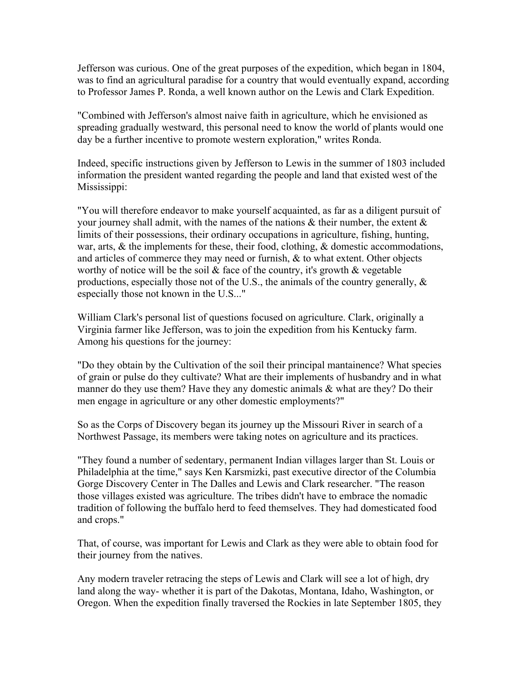Jefferson was curious. One of the great purposes of the expedition, which began in 1804, was to find an agricultural paradise for a country that would eventually expand, according to Professor James P. Ronda, a well known author on the Lewis and Clark Expedition.

"Combined with Jefferson's almost naive faith in agriculture, which he envisioned as spreading gradually westward, this personal need to know the world of plants would one day be a further incentive to promote western exploration," writes Ronda.

Indeed, specific instructions given by Jefferson to Lewis in the summer of 1803 included information the president wanted regarding the people and land that existed west of the Mississippi:

"You will therefore endeavor to make yourself acquainted, as far as a diligent pursuit of your journey shall admit, with the names of the nations  $\&$  their number, the extent  $\&$ limits of their possessions, their ordinary occupations in agriculture, fishing, hunting, war, arts, & the implements for these, their food, clothing, & domestic accommodations, and articles of commerce they may need or furnish, & to what extent. Other objects worthy of notice will be the soil  $\&$  face of the country, it's growth  $\&$  vegetable productions, especially those not of the U.S., the animals of the country generally,  $\&$ especially those not known in the U.S..."

William Clark's personal list of questions focused on agriculture. Clark, originally a Virginia farmer like Jefferson, was to join the expedition from his Kentucky farm. Among his questions for the journey:

"Do they obtain by the Cultivation of the soil their principal mantainence? What species of grain or pulse do they cultivate? What are their implements of husbandry and in what manner do they use them? Have they any domestic animals & what are they? Do their men engage in agriculture or any other domestic employments?"

So as the Corps of Discovery began its journey up the Missouri River in search of a Northwest Passage, its members were taking notes on agriculture and its practices.

"They found a number of sedentary, permanent Indian villages larger than St. Louis or Philadelphia at the time," says Ken Karsmizki, past executive director of the Columbia Gorge Discovery Center in The Dalles and Lewis and Clark researcher. "The reason those villages existed was agriculture. The tribes didn't have to embrace the nomadic tradition of following the buffalo herd to feed themselves. They had domesticated food and crops."

That, of course, was important for Lewis and Clark as they were able to obtain food for their journey from the natives.

Any modern traveler retracing the steps of Lewis and Clark will see a lot of high, dry land along the way- whether it is part of the Dakotas, Montana, Idaho, Washington, or Oregon. When the expedition finally traversed the Rockies in late September 1805, they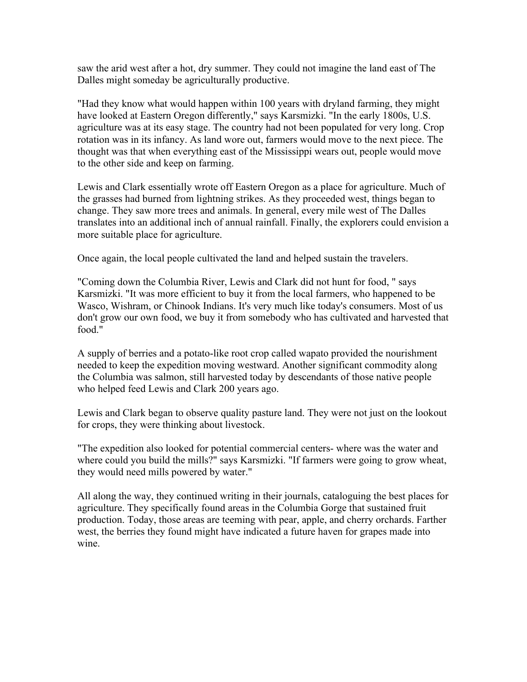saw the arid west after a hot, dry summer. They could not imagine the land east of The Dalles might someday be agriculturally productive.

"Had they know what would happen within 100 years with dryland farming, they might have looked at Eastern Oregon differently," says Karsmizki. "In the early 1800s, U.S. agriculture was at its easy stage. The country had not been populated for very long. Crop rotation was in its infancy. As land wore out, farmers would move to the next piece. The thought was that when everything east of the Mississippi wears out, people would move to the other side and keep on farming.

Lewis and Clark essentially wrote off Eastern Oregon as a place for agriculture. Much of the grasses had burned from lightning strikes. As they proceeded west, things began to change. They saw more trees and animals. In general, every mile west of The Dalles translates into an additional inch of annual rainfall. Finally, the explorers could envision a more suitable place for agriculture.

Once again, the local people cultivated the land and helped sustain the travelers.

"Coming down the Columbia River, Lewis and Clark did not hunt for food, " says Karsmizki. "It was more efficient to buy it from the local farmers, who happened to be Wasco, Wishram, or Chinook Indians. It's very much like today's consumers. Most of us don't grow our own food, we buy it from somebody who has cultivated and harvested that food."

A supply of berries and a potato-like root crop called wapato provided the nourishment needed to keep the expedition moving westward. Another significant commodity along the Columbia was salmon, still harvested today by descendants of those native people who helped feed Lewis and Clark 200 years ago.

Lewis and Clark began to observe quality pasture land. They were not just on the lookout for crops, they were thinking about livestock.

"The expedition also looked for potential commercial centers- where was the water and where could you build the mills?" says Karsmizki. "If farmers were going to grow wheat, they would need mills powered by water."

All along the way, they continued writing in their journals, cataloguing the best places for agriculture. They specifically found areas in the Columbia Gorge that sustained fruit production. Today, those areas are teeming with pear, apple, and cherry orchards. Farther west, the berries they found might have indicated a future haven for grapes made into wine.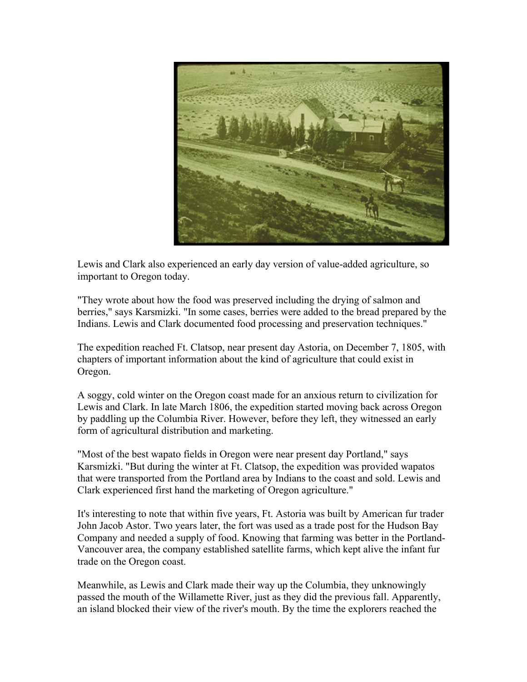

Lewis and Clark also experienced an early day version of value-added agriculture, so important to Oregon today.

"They wrote about how the food was preserved including the drying of salmon and berries," says Karsmizki. "In some cases, berries were added to the bread prepared by the Indians. Lewis and Clark documented food processing and preservation techniques."

The expedition reached Ft. Clatsop, near present day Astoria, on December 7, 1805, with chapters of important information about the kind of agriculture that could exist in Oregon.

A soggy, cold winter on the Oregon coast made for an anxious return to civilization for Lewis and Clark. In late March 1806, the expedition started moving back across Oregon by paddling up the Columbia River. However, before they left, they witnessed an early form of agricultural distribution and marketing.

"Most of the best wapato fields in Oregon were near present day Portland," says Karsmizki. "But during the winter at Ft. Clatsop, the expedition was provided wapatos that were transported from the Portland area by Indians to the coast and sold. Lewis and Clark experienced first hand the marketing of Oregon agriculture."

It's interesting to note that within five years, Ft. Astoria was built by American fur trader John Jacob Astor. Two years later, the fort was used as a trade post for the Hudson Bay Company and needed a supply of food. Knowing that farming was better in the Portland-Vancouver area, the company established satellite farms, which kept alive the infant fur trade on the Oregon coast.

Meanwhile, as Lewis and Clark made their way up the Columbia, they unknowingly passed the mouth of the Willamette River, just as they did the previous fall. Apparently, an island blocked their view of the river's mouth. By the time the explorers reached the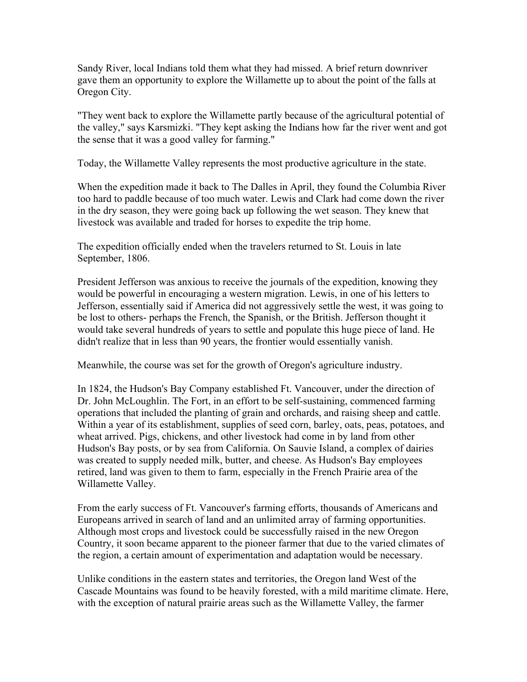Sandy River, local Indians told them what they had missed. A brief return downriver gave them an opportunity to explore the Willamette up to about the point of the falls at Oregon City.

"They went back to explore the Willamette partly because of the agricultural potential of the valley," says Karsmizki. "They kept asking the Indians how far the river went and got the sense that it was a good valley for farming."

Today, the Willamette Valley represents the most productive agriculture in the state.

When the expedition made it back to The Dalles in April, they found the Columbia River too hard to paddle because of too much water. Lewis and Clark had come down the river in the dry season, they were going back up following the wet season. They knew that livestock was available and traded for horses to expedite the trip home.

The expedition officially ended when the travelers returned to St. Louis in late September, 1806.

President Jefferson was anxious to receive the journals of the expedition, knowing they would be powerful in encouraging a western migration. Lewis, in one of his letters to Jefferson, essentially said if America did not aggressively settle the west, it was going to be lost to others- perhaps the French, the Spanish, or the British. Jefferson thought it would take several hundreds of years to settle and populate this huge piece of land. He didn't realize that in less than 90 years, the frontier would essentially vanish.

Meanwhile, the course was set for the growth of Oregon's agriculture industry.

In 1824, the Hudson's Bay Company established Ft. Vancouver, under the direction of Dr. John McLoughlin. The Fort, in an effort to be self-sustaining, commenced farming operations that included the planting of grain and orchards, and raising sheep and cattle. Within a year of its establishment, supplies of seed corn, barley, oats, peas, potatoes, and wheat arrived. Pigs, chickens, and other livestock had come in by land from other Hudson's Bay posts, or by sea from California. On Sauvie Island, a complex of dairies was created to supply needed milk, butter, and cheese. As Hudson's Bay employees retired, land was given to them to farm, especially in the French Prairie area of the Willamette Valley.

From the early success of Ft. Vancouver's farming efforts, thousands of Americans and Europeans arrived in search of land and an unlimited array of farming opportunities. Although most crops and livestock could be successfully raised in the new Oregon Country, it soon became apparent to the pioneer farmer that due to the varied climates of the region, a certain amount of experimentation and adaptation would be necessary.

Unlike conditions in the eastern states and territories, the Oregon land West of the Cascade Mountains was found to be heavily forested, with a mild maritime climate. Here, with the exception of natural prairie areas such as the Willamette Valley, the farmer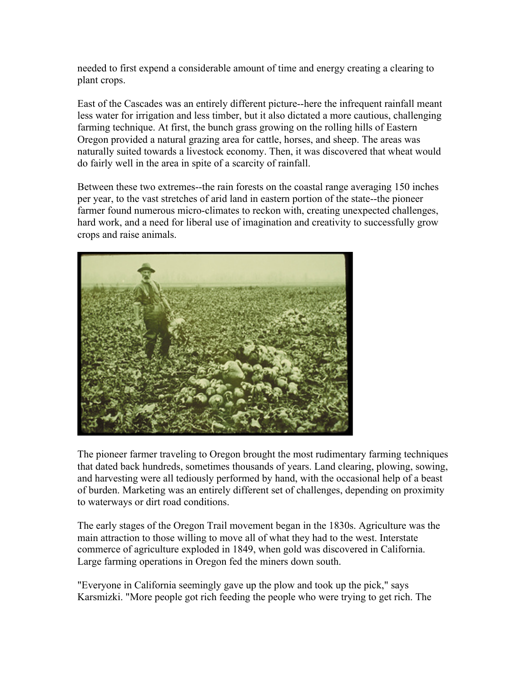needed to first expend a considerable amount of time and energy creating a clearing to plant crops.

East of the Cascades was an entirely different picture--here the infrequent rainfall meant less water for irrigation and less timber, but it also dictated a more cautious, challenging farming technique. At first, the bunch grass growing on the rolling hills of Eastern Oregon provided a natural grazing area for cattle, horses, and sheep. The areas was naturally suited towards a livestock economy. Then, it was discovered that wheat would do fairly well in the area in spite of a scarcity of rainfall.

Between these two extremes--the rain forests on the coastal range averaging 150 inches per year, to the vast stretches of arid land in eastern portion of the state--the pioneer farmer found numerous micro-climates to reckon with, creating unexpected challenges, hard work, and a need for liberal use of imagination and creativity to successfully grow crops and raise animals.



The pioneer farmer traveling to Oregon brought the most rudimentary farming techniques that dated back hundreds, sometimes thousands of years. Land clearing, plowing, sowing, and harvesting were all tediously performed by hand, with the occasional help of a beast of burden. Marketing was an entirely different set of challenges, depending on proximity to waterways or dirt road conditions.

The early stages of the Oregon Trail movement began in the 1830s. Agriculture was the main attraction to those willing to move all of what they had to the west. Interstate commerce of agriculture exploded in 1849, when gold was discovered in California. Large farming operations in Oregon fed the miners down south.

"Everyone in California seemingly gave up the plow and took up the pick," says Karsmizki. "More people got rich feeding the people who were trying to get rich. The